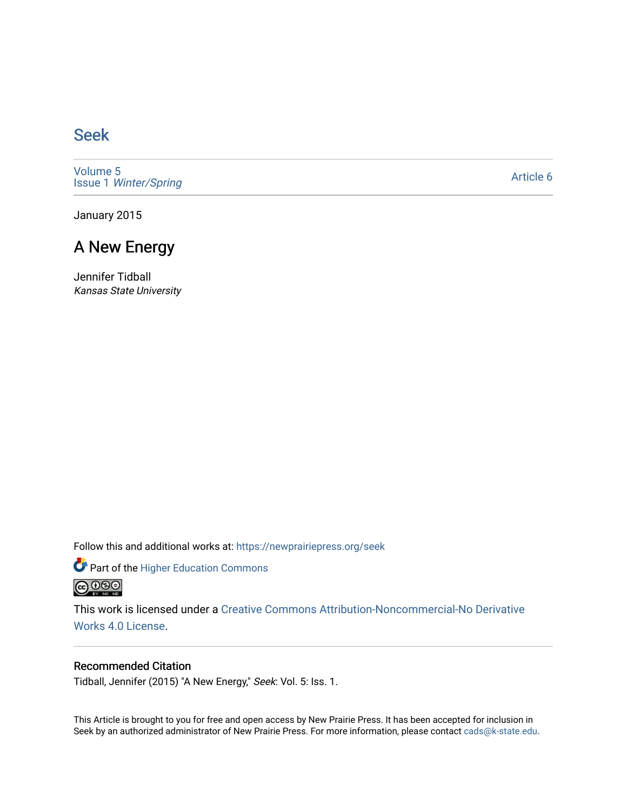## [Seek](https://newprairiepress.org/seek)

[Volume 5](https://newprairiepress.org/seek/vol5) Issue 1 [Winter/Spring](https://newprairiepress.org/seek/vol5/iss1)

[Article 6](https://newprairiepress.org/seek/vol5/iss1/6) 

January 2015

## A New Energy

Jennifer Tidball Kansas State University

Follow this and additional works at: [https://newprairiepress.org/seek](https://newprairiepress.org/seek?utm_source=newprairiepress.org%2Fseek%2Fvol5%2Fiss1%2F6&utm_medium=PDF&utm_campaign=PDFCoverPages)

Part of the [Higher Education Commons](http://network.bepress.com/hgg/discipline/1245?utm_source=newprairiepress.org%2Fseek%2Fvol5%2Fiss1%2F6&utm_medium=PDF&utm_campaign=PDFCoverPages) 



This work is licensed under a [Creative Commons Attribution-Noncommercial-No Derivative](https://creativecommons.org/licenses/by-nc-nd/4.0/)  [Works 4.0 License](https://creativecommons.org/licenses/by-nc-nd/4.0/).

### Recommended Citation

Tidball, Jennifer (2015) "A New Energy," Seek: Vol. 5: Iss. 1.

This Article is brought to you for free and open access by New Prairie Press. It has been accepted for inclusion in Seek by an authorized administrator of New Prairie Press. For more information, please contact [cads@k-state.edu](mailto:cads@k-state.edu).